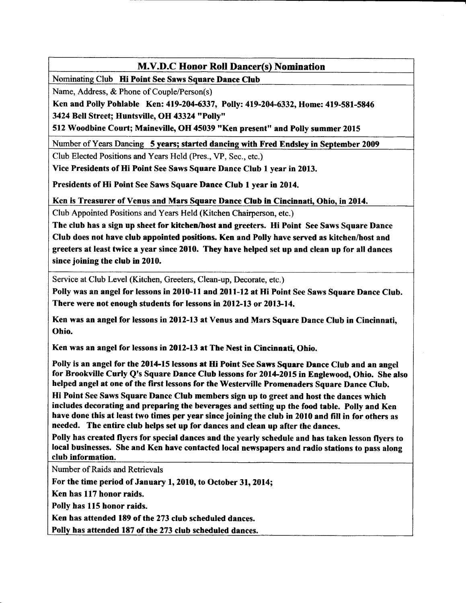Nominatine Club Hi Point See Saws Square Dance Club

Name, Address, & Phone of Couple/Person(s)

Ken and Polly Pohlable Ken: 419-204-6337, Polly: 419-204-6332, Home: 419-581-5846 3424 Bell Street; Huntsville, OH 43324 "Polly"

512 Woodbine Court; Maineville, OH 45039 'rKen presentt' and Polly summer 2015

Number of Years Dancing 5 years; started dancing with Fred Endsley in September 2009

Club Elected Positions and Years Held (Pres., VP, Sec., etc.)

Vice Presidents of Hi Point See Saws Square Dance Club 1 year in 2013.

Presidents of Hi Point See Saws Square Dance Club 1 year in 2014.

Ken is Treasurer of Venus and Mars Square Dance Club in Cincinnati, Ohio, in 2014.

Club Appointed Positions and Years Held (Kitchen Chairperson, etc.)

The club has a sign up sheet for kitchen/host and greeters. Hi Point See Saws Square Dance Club does not have club appointed positions Ken and Polly have served as kitchen/host and greeters at least twice a year since 2010. They have helped set up and clean up for all dances since joining the club in 2010.

Service at Club Level (Kitchen, Greeters, Clean-up, Decorate, etc.)

Polly was an angel for lessons in 2010-11 and 2011-12 at Hi Point See Saws Square Dance Club. There were not enough students for lessons in 2012-13 or 2013-14.

Ken was an angel for lessons in 2012-13 at Venus and Mars Square Dance Club in Cincinnati, Ohio.

Ken was an angel for lessons in 2012-13 at The Nest in Cincinnati, Ohio.

Polly is an angel for the 2014-15 lessons at Hi Point See Saws Square Dance Club and an angel for Brookville Curly Q's Square Dance Club lessons for 2014-2015 in Englewood, Ohio. She also helped angel at one of the first lessons for the Westerville Promenaders Square Dance Club.

Hi Point See Saws Square Dance Club members sign up to greet and host the dances which includes decorating and preparing the beverages and setting up the food table. Polly and Ken have done this at least two times per year since joining the club in 2010 and fill in for others as needed. The entire club helps set up for dances and clean up after the dances.

Polly has created flyers for special dences and the yearly schedule and has taken lesson flyers to local businesses. She and Ken have contacted local newspapers and radio stations to pass along club information.

Number of Raids and Retrievals

For the time period of January 1,2010, to October 31,2014;

Ken has 117 honor raids.

Polly has 115 honor raids.

Ken has attended 189 of the 273 club scheduled dances.

Polly has attended 187 of the 273 club scheduled dances.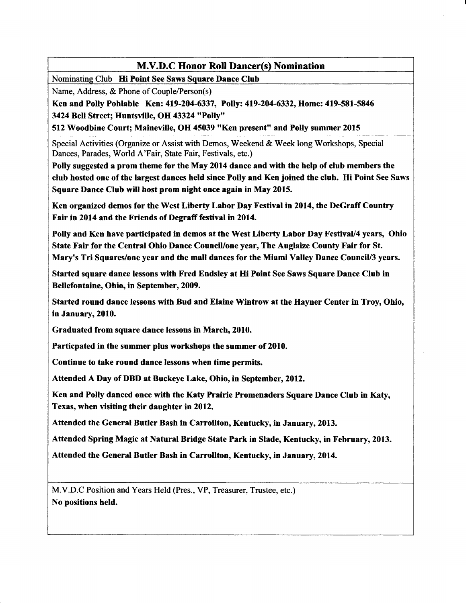Nominating Club Hi Point See Saws Square Dance Club

Name, Address, & Phone of Couple/Person(s)

Ken and Polly Pohlable Ken: 419-204-6337, Polly: 419-204-6332, Home: 419-581-5846 3424 BelI Street; Huntsville, OH 43324 "Polly"

512 Woodbine Court; Maineville, OH 45039 "Ken present" and Polly summer 2015

Special Activities (Organize or Assist with Demos, Weekend & Week long Workshops, Special Dances, Parades, World A'Fair, State Fair, Festivals, etc.)

Polly suggested a prom theme for the May 2014 dance and with the help of club members the club hosted one of the largest dances held since Polly and Ken joined the club. Hi Point See Saws Square Dance Club will host prom night once again in May 2015.

Ken organized demos for the West Liberty Labor Day Festival in 2014, the DeGraff Country Fair in 2014 and the Friends of Degraff festival in 2014.

Polly and Ken have participated in demos at the West Liberty Labor Day Festival/4 years, Ohio State Fair for the Central Ohio Dance Council/one year, The Auglaize County Fair for St. Mary's Tri Squares/one year and the mall dances for the Miami Valley Dance CounciV3 years.

Started square dance lessons with Fred Endsley at fli Point See Saws Square Dance Club in Bellefontaine, Ohio, in September, 2009.

Started round dance lessons with Bud and Elaine Wintrow at the Hayner Center in Troy, Ohio, in January,2010.

Graduated from square dance lessons in March,2010.

Particpated in the summer plus workshops the summer of 2010.

Continue to take round dance lessons when time permits.

Attended A Day of DBD at Buckeye Lake, Ohio, in September,20l2.

Ken and Polly danced once with the Katy Prairie Promenaders Square Dance Club in Katy, Texas, when visiting their daughter in 2012.

Attended the General Butler Bash in Carrollton, Kentucky, in January,2013.

Attended Spring Magic at Natural Bridge State Park in Slade, Kentucky, in February,2013.

Attended the General Butler Bash in Carrollton, Kentucky, in January, 2014.

M.V.D.C Position and Years Held (Pres., VP, Treasurer, Trustee, etc.) No positions held.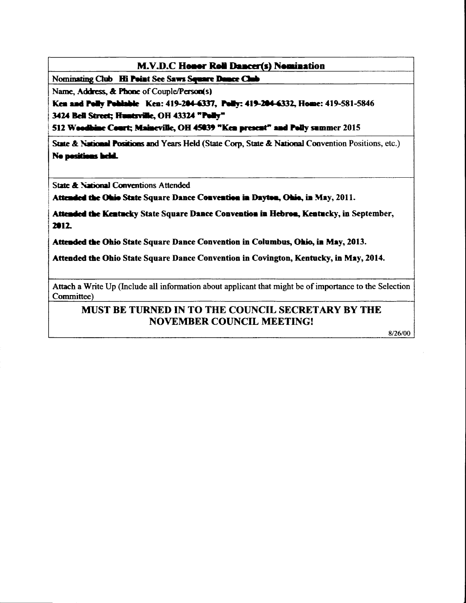Nominating Club Hi Point See Saws Square Dance Club

Name, Address, & Phone of Couple/Person(s)

Ken and Polly Pohlable Ken: 419-204-6337, Polly: 419-204-6332, Home: 419-581-5846 3424 Bell Street; Huntsville, OH 43324 "Polly"

512 Woodhine Court; Maineville, OH 45039 "Ken present" and Polly summer 2015

State & National Positions and Years Held (State Corp. State & National Convention Positions, etc.) No positions held.

State & National Conventions Attended

Attended the Ohio State Square Dance Convention in Dayton, Ohio, in May, 2011.

Attended the Kentucky State Square Dance Convention in Hebron, Kentucky, in September, 2012

Attended the Ohio State Square Dance Convention in Columbus, Ohio, in May, 2013.

Attended the Ohio State Square Dance Convention in Covington, Kentucky, in May, 2014.

Attach a Write Up (Include all information about applicant that might be of importance to the Selection Committee)

# MUST BE TURNED IN TO THE COUNCIL SECRETARY BY THE **NOVEMBER COUNCIL MEETING!**

8/26/00